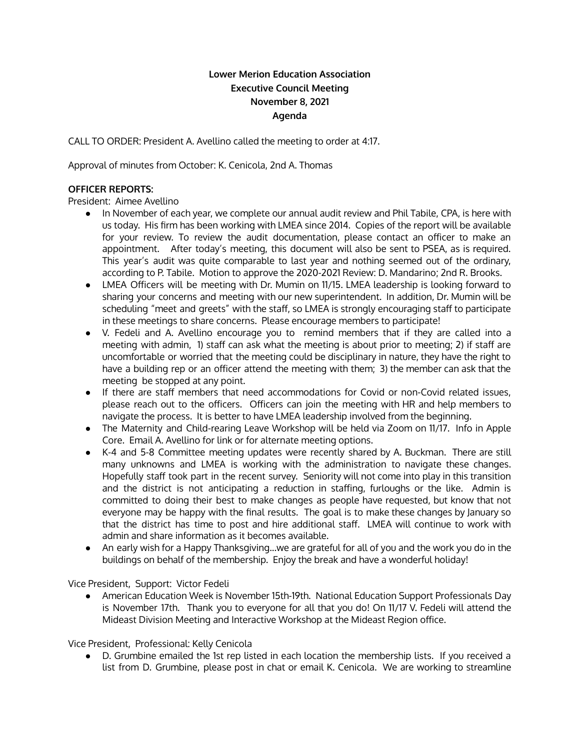# **Lower Merion Education Association Executive Council Meeting November 8, 2021 Agenda**

CALL TO ORDER: President A. Avellino called the meeting to order at 4:17.

Approval of minutes from October: K. Cenicola, 2nd A. Thomas

### **OFFICER REPORTS:**

President: Aimee Avellino

- In November of each year, we complete our annual audit review and Phil Tabile, CPA, is here with us today. His firm has been working with LMEA since 2014. Copies of the report will be available for your review. To review the audit documentation, please contact an officer to make an appointment. After today's meeting, this document will also be sent to PSEA, as is required. This year's audit was quite comparable to last year and nothing seemed out of the ordinary, according to P. Tabile. Motion to approve the 2020-2021 Review: D. Mandarino; 2nd R. Brooks.
- LMEA Officers will be meeting with Dr. Mumin on 11/15. LMEA leadership is looking forward to sharing your concerns and meeting with our new superintendent. In addition, Dr. Mumin will be scheduling "meet and greets" with the staff, so LMEA is strongly encouraging staff to participate in these meetings to share concerns. Please encourage members to participate!
- V. Fedeli and A. Avellino encourage you to remind members that if they are called into a meeting with admin, 1) staff can ask what the meeting is about prior to meeting; 2) if staff are uncomfortable or worried that the meeting could be disciplinary in nature, they have the right to have a building rep or an officer attend the meeting with them; 3) the member can ask that the meeting be stopped at any point.
- If there are staff members that need accommodations for Covid or non-Covid related issues, please reach out to the officers. Officers can join the meeting with HR and help members to navigate the process. It is better to have LMEA leadership involved from the beginning.
- The Maternity and Child-rearing Leave Workshop will be held via Zoom on 11/17. Info in Apple Core. Email A. Avellino for link or for alternate meeting options.
- K-4 and 5-8 Committee meeting updates were recently shared by A. Buckman. There are still many unknowns and LMEA is working with the administration to navigate these changes. Hopefully staff took part in the recent survey. Seniority will not come into play in this transition and the district is not anticipating a reduction in staffing, furloughs or the like. Admin is committed to doing their best to make changes as people have requested, but know that not everyone may be happy with the final results. The goal is to make these changes by January so that the district has time to post and hire additional staff. LMEA will continue to work with admin and share information as it becomes available.
- An early wish for a Happy Thanksgiving...we are grateful for all of you and the work you do in the buildings on behalf of the membership. Enjoy the break and have a wonderful holiday!

Vice President, Support: Victor Fedeli

• American Education Week is November 15th-19th. National Education Support Professionals Day is November 17th. Thank you to everyone for all that you do! On 11/17 V. Fedeli will attend the Mideast Division Meeting and Interactive Workshop at the Mideast Region office.

Vice President, Professional: Kelly Cenicola

D. Grumbine emailed the 1st rep listed in each location the membership lists. If you received a list from D. Grumbine, please post in chat or email K. Cenicola. We are working to streamline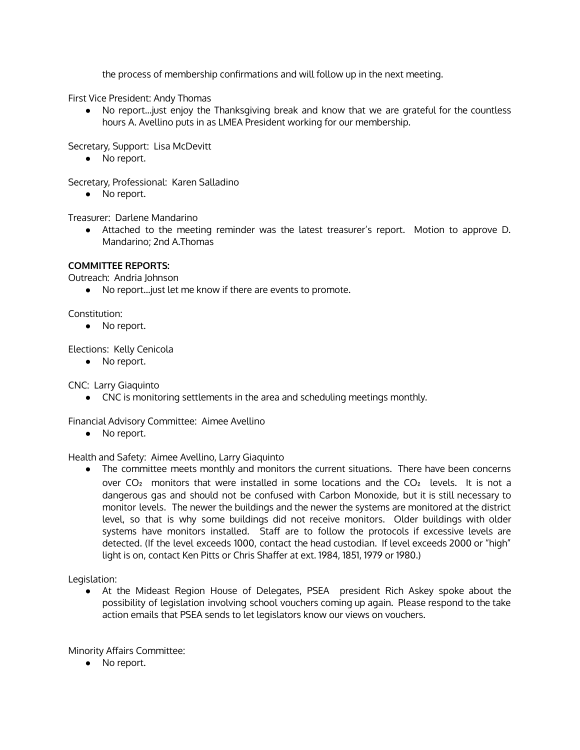the process of membership confirmations and will follow up in the next meeting.

First Vice President: Andy Thomas

● No report...just enjoy the Thanksgiving break and know that we are grateful for the countless hours A. Avellino puts in as LMEA President working for our membership.

Secretary, Support: Lisa McDevitt

● No report.

Secretary, Professional: Karen Salladino

● No report.

Treasurer: Darlene Mandarino

● Attached to the meeting reminder was the latest treasurer's report. Motion to approve D. Mandarino; 2nd A.Thomas

## **COMMITTEE REPORTS:**

Outreach: Andria Johnson

● No report...just let me know if there are events to promote.

Constitution:

● No report.

Elections: Kelly Cenicola

● No report.

CNC: Larry Giaquinto

● CNC is monitoring settlements in the area and scheduling meetings monthly.

Financial Advisory Committee: Aimee Avellino

● No report.

### Health and Safety: Aimee Avellino, Larry Giaquinto

● The committee meets monthly and monitors the current situations. There have been concerns over  $CO<sub>2</sub>$  monitors that were installed in some locations and the  $CO<sub>2</sub>$  levels. It is not a dangerous gas and should not be confused with Carbon Monoxide, but it is still necessary to monitor levels. The newer the buildings and the newer the systems are monitored at the district level, so that is why some buildings did not receive monitors. Older buildings with older systems have monitors installed. Staff are to follow the protocols if excessive levels are detected. (If the level exceeds 1000, contact the head custodian. If level exceeds 2000 or "high" light is on, contact Ken Pitts or Chris Shaffer at ext. 1984, 1851, 1979 or 1980.)

Legislation:

● At the Mideast Region House of Delegates, PSEA president Rich Askey spoke about the possibility of legislation involving school vouchers coming up again. Please respond to the take action emails that PSEA sends to let legislators know our views on vouchers.

Minority Affairs Committee:

● No report.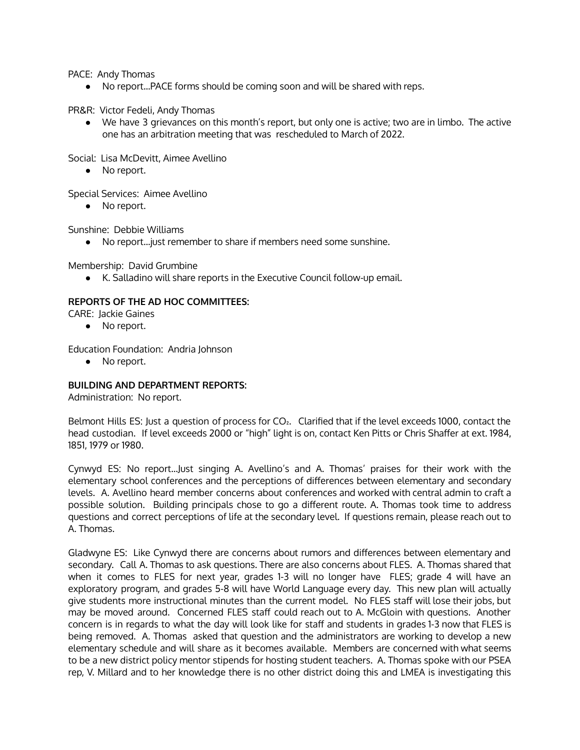PACE: Andy Thomas

● No report...PACE forms should be coming soon and will be shared with reps.

PR&R: Victor Fedeli, Andy Thomas

● We have 3 grievances on this month's report, but only one is active; two are in limbo. The active one has an arbitration meeting that was rescheduled to March of 2022.

Social: Lisa McDevitt, Aimee Avellino

• No report.

Special Services: Aimee Avellino

● No report.

Sunshine: Debbie Williams

● No report...just remember to share if members need some sunshine.

Membership: David Grumbine

● K. Salladino will share reports in the Executive Council follow-up email.

### **REPORTS OF THE AD HOC COMMITTEES:**

CARE: Jackie Gaines

● No report.

Education Foundation: Andria Johnson

● No report.

### **BUILDING AND DEPARTMENT REPORTS:**

Administration: No report.

Belmont Hills ES: Just a question of process for CO<sub>2</sub>. Clarified that if the level exceeds 1000, contact the head custodian. If level exceeds 2000 or "high" light is on, contact Ken Pitts or Chris Shaffer at ext. 1984, 1851, 1979 or 1980.

Cynwyd ES: No report...Just singing A. Avellino's and A. Thomas' praises for their work with the elementary school conferences and the perceptions of differences between elementary and secondary levels. A. Avellino heard member concerns about conferences and worked with central admin to craft a possible solution. Building principals chose to go a different route. A. Thomas took time to address questions and correct perceptions of life at the secondary level. If questions remain, please reach out to A. Thomas.

Gladwyne ES: Like Cynwyd there are concerns about rumors and differences between elementary and secondary. Call A. Thomas to ask questions. There are also concerns about FLES. A. Thomas shared that when it comes to FLES for next year, grades 1-3 will no longer have FLES; grade 4 will have an exploratory program, and grades 5-8 will have World Language every day. This new plan will actually give students more instructional minutes than the current model. No FLES staff will lose their jobs, but may be moved around. Concerned FLES staff could reach out to A. McGloin with questions. Another concern is in regards to what the day will look like for staff and students in grades 1-3 now that FLES is being removed. A. Thomas asked that question and the administrators are working to develop a new elementary schedule and will share as it becomes available. Members are concerned with what seems to be a new district policy mentor stipends for hosting student teachers. A. Thomas spoke with our PSEA rep, V. Millard and to her knowledge there is no other district doing this and LMEA is investigating this